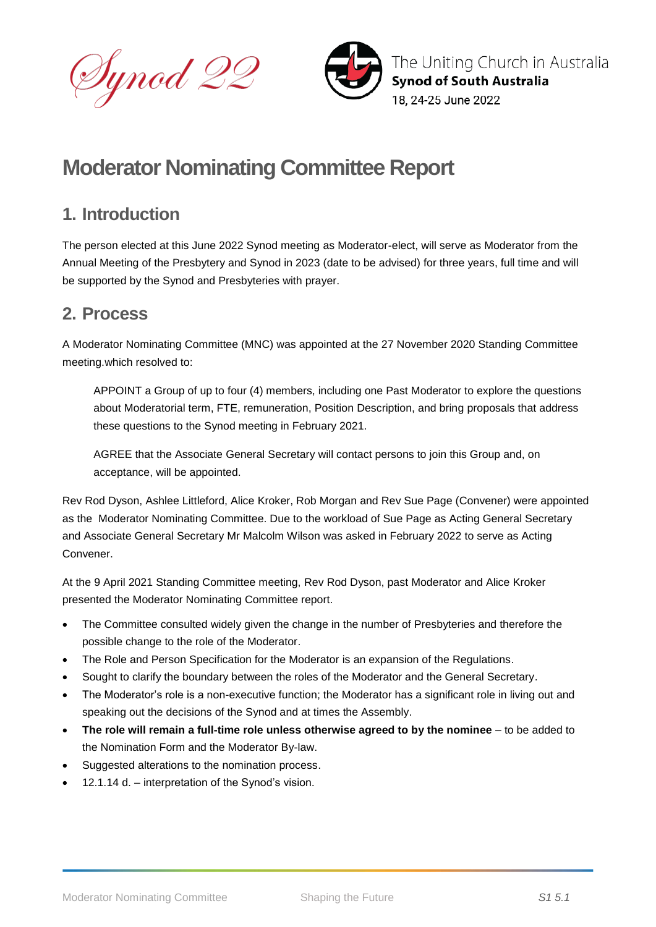



# **Moderator Nominating Committee Report**

### **1. Introduction**

The person elected at this June 2022 Synod meeting as Moderator-elect, will serve as Moderator from the Annual Meeting of the Presbytery and Synod in 2023 (date to be advised) for three years, full time and will be supported by the Synod and Presbyteries with prayer.

## **2. Process**

A Moderator Nominating Committee (MNC) was appointed at the 27 November 2020 Standing Committee meeting.which resolved to:

 APPOINT a Group of up to four (4) members, including one Past Moderator to explore the questions about Moderatorial term, FTE, remuneration, Position Description, and bring proposals that address these questions to the Synod meeting in February 2021.

AGREE that the Associate General Secretary will contact persons to join this Group and, on acceptance, will be appointed.

Rev Rod Dyson, Ashlee Littleford, Alice Kroker, Rob Morgan and Rev Sue Page (Convener) were appointed as the Moderator Nominating Committee. Due to the workload of Sue Page as Acting General Secretary and Associate General Secretary Mr Malcolm Wilson was asked in February 2022 to serve as Acting Convener.

At the 9 April 2021 Standing Committee meeting, Rev Rod Dyson, past Moderator and Alice Kroker presented the Moderator Nominating Committee report.

- The Committee consulted widely given the change in the number of Presbyteries and therefore the possible change to the role of the Moderator.
- The Role and Person Specification for the Moderator is an expansion of the Regulations.
- Sought to clarify the boundary between the roles of the Moderator and the General Secretary.
- The Moderator's role is a non-executive function; the Moderator has a significant role in living out and speaking out the decisions of the Synod and at times the Assembly.
- **The role will remain a full-time role unless otherwise agreed to by the nominee** to be added to the Nomination Form and the Moderator By-law.
- Suggested alterations to the nomination process.
- 12.1.14 d. interpretation of the Synod's vision.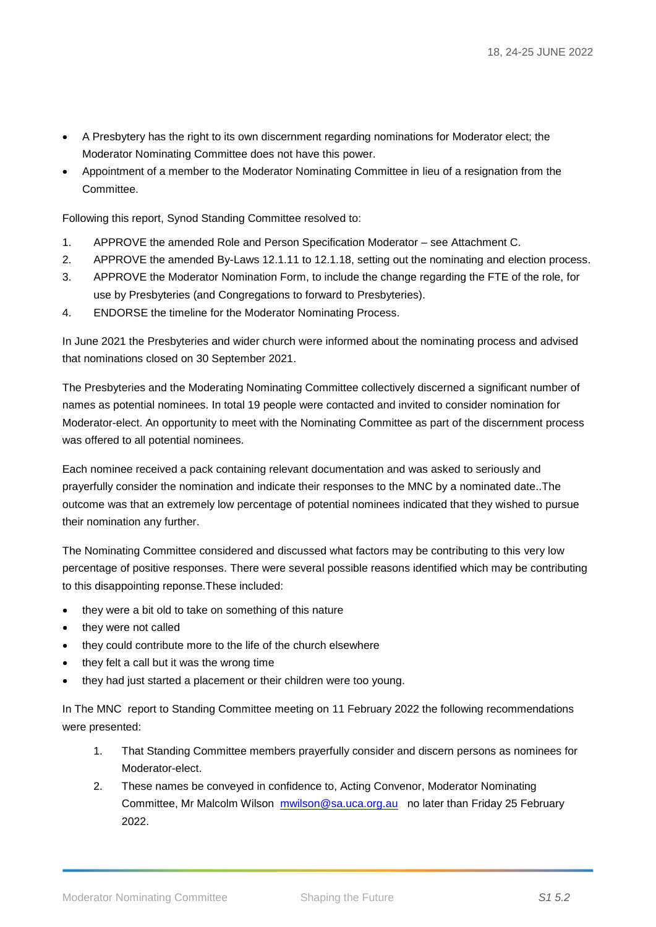- A Presbytery has the right to its own discernment regarding nominations for Moderator elect; the Moderator Nominating Committee does not have this power.
- Appointment of a member to the Moderator Nominating Committee in lieu of a resignation from the **Committee.**

Following this report, Synod Standing Committee resolved to:

- 1. APPROVE the amended Role and Person Specification Moderator see Attachment C.
- 2. APPROVE the amended By-Laws 12.1.11 to 12.1.18, setting out the nominating and election process.
- 3. APPROVE the Moderator Nomination Form, to include the change regarding the FTE of the role, for use by Presbyteries (and Congregations to forward to Presbyteries).
- 4. ENDORSE the timeline for the Moderator Nominating Process.

In June 2021 the Presbyteries and wider church were informed about the nominating process and advised that nominations closed on 30 September 2021.

The Presbyteries and the Moderating Nominating Committee collectively discerned a significant number of names as potential nominees. In total 19 people were contacted and invited to consider nomination for Moderator-elect. An opportunity to meet with the Nominating Committee as part of the discernment process was offered to all potential nominees.

Each nominee received a pack containing relevant documentation and was asked to seriously and prayerfully consider the nomination and indicate their responses to the MNC by a nominated date..The outcome was that an extremely low percentage of potential nominees indicated that they wished to pursue their nomination any further.

The Nominating Committee considered and discussed what factors may be contributing to this very low percentage of positive responses. There were several possible reasons identified which may be contributing to this disappointing reponse.These included:

- they were a bit old to take on something of this nature
- they were not called
- they could contribute more to the life of the church elsewhere
- they felt a call but it was the wrong time
- they had just started a placement or their children were too young.

In The MNC report to Standing Committee meeting on 11 February 2022 the following recommendations were presented:

- 1. That Standing Committee members prayerfully consider and discern persons as nominees for Moderator-elect.
- 2. These names be conveyed in confidence to, Acting Convenor, Moderator Nominating Committee, Mr Malcolm Wilson [mwilson@sa.uca.org.au](mailto:mwilson@sa.uca.org.au) no later than Friday 25 February 2022.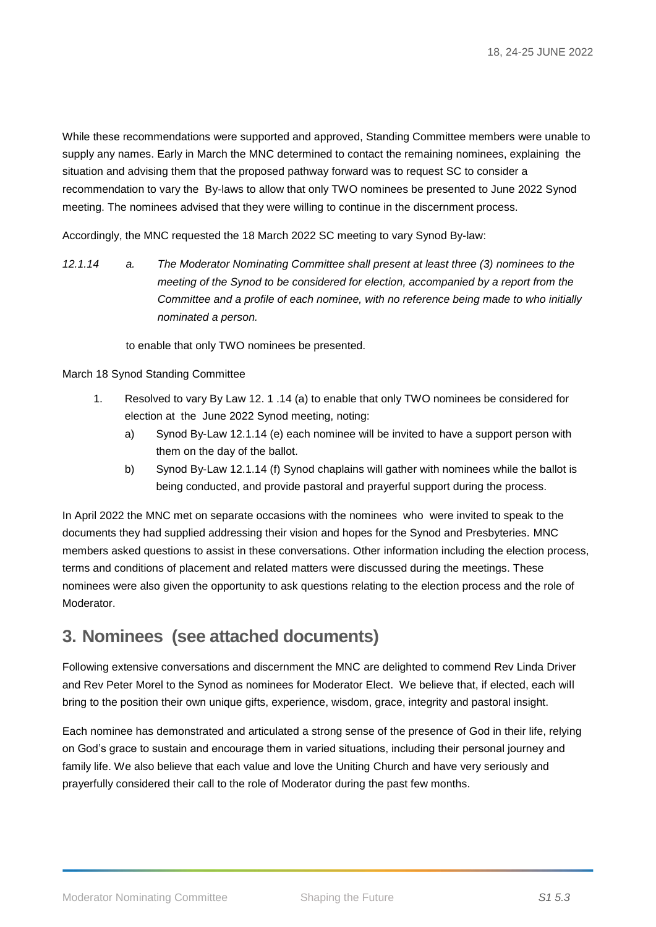While these recommendations were supported and approved, Standing Committee members were unable to supply any names. Early in March the MNC determined to contact the remaining nominees, explaining the situation and advising them that the proposed pathway forward was to request SC to consider a recommendation to vary the By-laws to allow that only TWO nominees be presented to June 2022 Synod meeting. The nominees advised that they were willing to continue in the discernment process.

Accordingly, the MNC requested the 18 March 2022 SC meeting to vary Synod By-law:

*12.1.14 a. The Moderator Nominating Committee shall present at least three (3) nominees to the meeting of the Synod to be considered for election, accompanied by a report from the Committee and a profile of each nominee, with no reference being made to who initially nominated a person.*

to enable that only TWO nominees be presented.

March 18 Synod Standing Committee

- 1. Resolved to vary By Law 12. 1 .14 (a) to enable that only TWO nominees be considered for election at the June 2022 Synod meeting, noting:
	- a) Synod By-Law 12.1.14 (e) each nominee will be invited to have a support person with them on the day of the ballot.
	- b) Synod By-Law 12.1.14 (f) Synod chaplains will gather with nominees while the ballot is being conducted, and provide pastoral and prayerful support during the process.

In April 2022 the MNC met on separate occasions with the nominees who were invited to speak to the documents they had supplied addressing their vision and hopes for the Synod and Presbyteries. MNC members asked questions to assist in these conversations. Other information including the election process, terms and conditions of placement and related matters were discussed during the meetings. These nominees were also given the opportunity to ask questions relating to the election process and the role of Moderator.

### **3. Nominees (see attached documents)**

Following extensive conversations and discernment the MNC are delighted to commend Rev Linda Driver and Rev Peter Morel to the Synod as nominees for Moderator Elect. We believe that, if elected, each will bring to the position their own unique gifts, experience, wisdom, grace, integrity and pastoral insight.

Each nominee has demonstrated and articulated a strong sense of the presence of God in their life, relying on God's grace to sustain and encourage them in varied situations, including their personal journey and family life. We also believe that each value and love the Uniting Church and have very seriously and prayerfully considered their call to the role of Moderator during the past few months.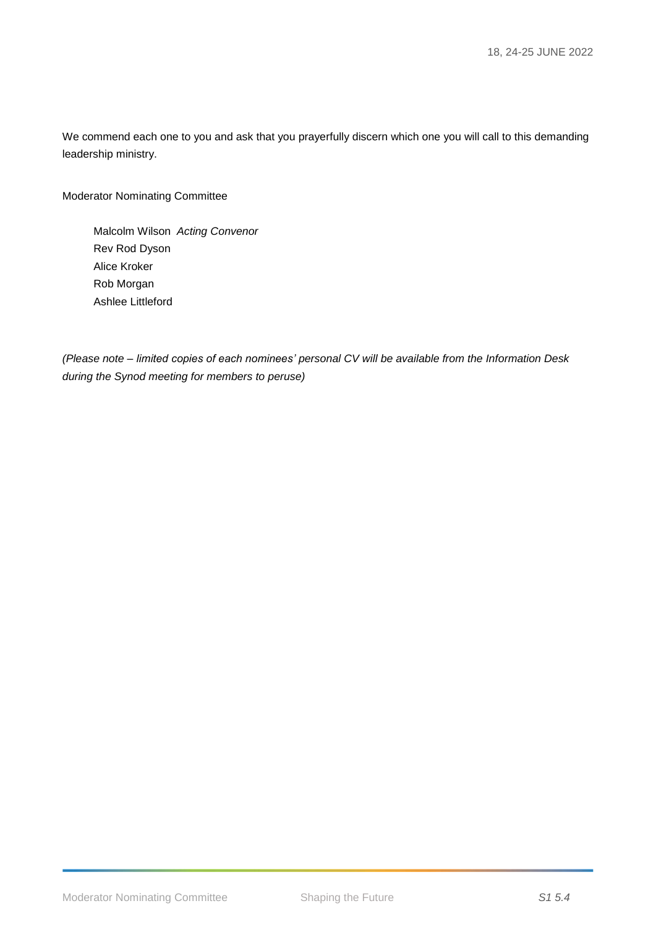We commend each one to you and ask that you prayerfully discern which one you will call to this demanding leadership ministry.

Moderator Nominating Committee

Malcolm Wilson *Acting Convenor*  Rev Rod Dyson Alice Kroker Rob Morgan Ashlee Littleford

*(Please note – limited copies of each nominees' personal CV will be available from the Information Desk during the Synod meeting for members to peruse)*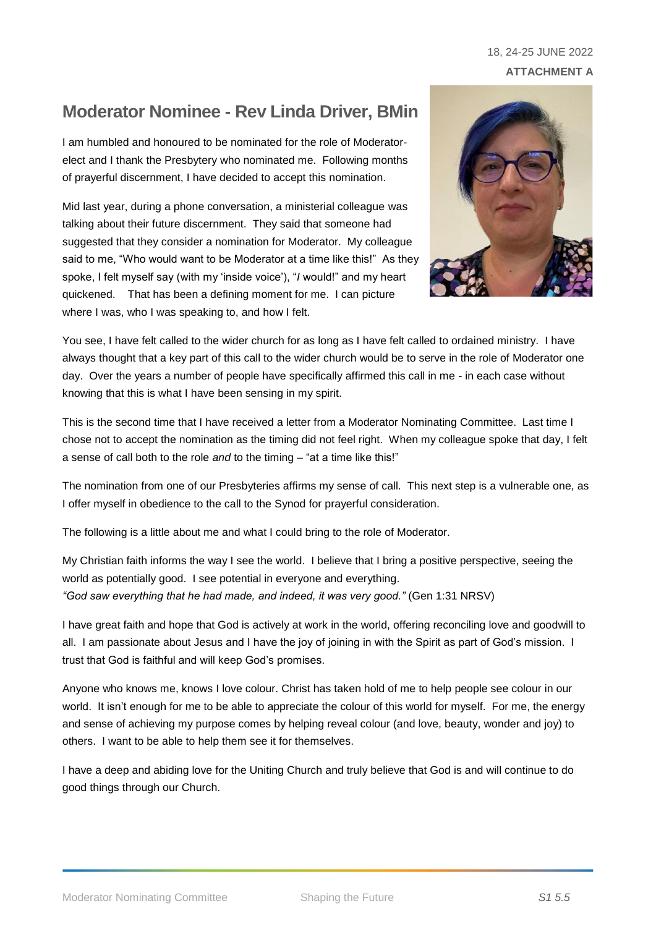### 18, 24-25 JUNE 2022 **ATTACHMENT A**

## **Moderator Nominee - Rev Linda Driver, BMin**

I am humbled and honoured to be nominated for the role of Moderatorelect and I thank the Presbytery who nominated me. Following months of prayerful discernment, I have decided to accept this nomination.

Mid last year, during a phone conversation, a ministerial colleague was talking about their future discernment. They said that someone had suggested that they consider a nomination for Moderator. My colleague said to me, "Who would want to be Moderator at a time like this!" As they spoke, I felt myself say (with my 'inside voice'), "*I* would!" and my heart quickened. That has been a defining moment for me. I can picture where I was, who I was speaking to, and how I felt.



You see, I have felt called to the wider church for as long as I have felt called to ordained ministry. I have always thought that a key part of this call to the wider church would be to serve in the role of Moderator one day. Over the years a number of people have specifically affirmed this call in me - in each case without knowing that this is what I have been sensing in my spirit.

This is the second time that I have received a letter from a Moderator Nominating Committee. Last time I chose not to accept the nomination as the timing did not feel right. When my colleague spoke that day, I felt a sense of call both to the role *and* to the timing – "at a time like this!"

The nomination from one of our Presbyteries affirms my sense of call. This next step is a vulnerable one, as I offer myself in obedience to the call to the Synod for prayerful consideration.

The following is a little about me and what I could bring to the role of Moderator.

My Christian faith informs the way I see the world. I believe that I bring a positive perspective, seeing the world as potentially good. I see potential in everyone and everything. *"God saw everything that he had made, and indeed, it was very good."* (Gen 1:31 NRSV)

I have great faith and hope that God is actively at work in the world, offering reconciling love and goodwill to all. I am passionate about Jesus and I have the joy of joining in with the Spirit as part of God's mission. I trust that God is faithful and will keep God's promises.

Anyone who knows me, knows I love colour. Christ has taken hold of me to help people see colour in our world. It isn't enough for me to be able to appreciate the colour of this world for myself. For me, the energy and sense of achieving my purpose comes by helping reveal colour (and love, beauty, wonder and joy) to others. I want to be able to help them see it for themselves.

I have a deep and abiding love for the Uniting Church and truly believe that God is and will continue to do good things through our Church.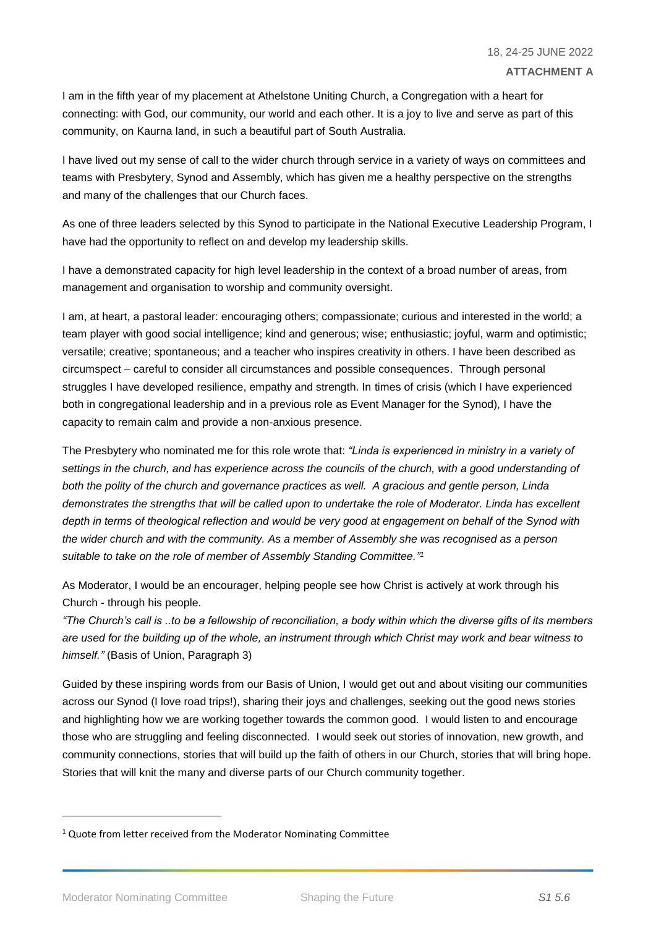I am in the fifth year of my placement at Athelstone Uniting Church, a Congregation with a heart for connecting: with God, our community, our world and each other. It is a joy to live and serve as part of this community, on Kaurna land, in such a beautiful part of South Australia.

I have lived out my sense of call to the wider church through service in a variety of ways on committees and teams with Presbytery, Synod and Assembly, which has given me a healthy perspective on the strengths and many of the challenges that our Church faces.

As one of three leaders selected by this Synod to participate in the National Executive Leadership Program, I have had the opportunity to reflect on and develop my leadership skills.

I have a demonstrated capacity for high level leadership in the context of a broad number of areas, from management and organisation to worship and community oversight.

I am, at heart, a pastoral leader: encouraging others; compassionate; curious and interested in the world; a team player with good social intelligence; kind and generous; wise; enthusiastic; joyful, warm and optimistic; versatile; creative; spontaneous; and a teacher who inspires creativity in others. I have been described as circumspect – careful to consider all circumstances and possible consequences. Through personal struggles I have developed resilience, empathy and strength. In times of crisis (which I have experienced both in congregational leadership and in a previous role as Event Manager for the Synod), I have the capacity to remain calm and provide a non-anxious presence.

The Presbytery who nominated me for this role wrote that: *"Linda is experienced in ministry in a variety of settings in the church, and has experience across the councils of the church, with a good understanding of both the polity of the church and governance practices as well. A gracious and gentle person, Linda demonstrates the strengths that will be called upon to undertake the role of Moderator. Linda has excellent depth in terms of theological reflection and would be very good at engagement on behalf of the Synod with the wider church and with the community. As a member of Assembly she was recognised as a person suitable to take on the role of member of Assembly Standing Committee." 1*

As Moderator, I would be an encourager, helping people see how Christ is actively at work through his Church - through his people.

*"The Church's call is ..to be a fellowship of reconciliation, a body within which the diverse gifts of its members are used for the building up of the whole, an instrument through which Christ may work and bear witness to himself."* (Basis of Union, Paragraph 3)

Guided by these inspiring words from our Basis of Union, I would get out and about visiting our communities across our Synod (I love road trips!), sharing their joys and challenges, seeking out the good news stories and highlighting how we are working together towards the common good. I would listen to and encourage those who are struggling and feeling disconnected. I would seek out stories of innovation, new growth, and community connections, stories that will build up the faith of others in our Church, stories that will bring hope. Stories that will knit the many and diverse parts of our Church community together.

-

<sup>&</sup>lt;sup>1</sup> Quote from letter received from the Moderator Nominating Committee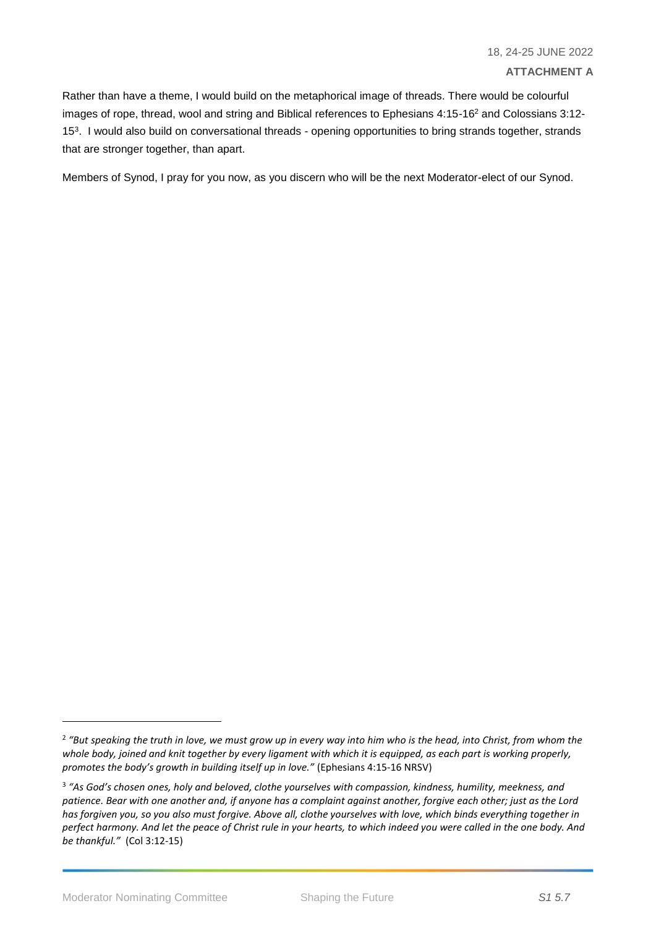Rather than have a theme, I would build on the metaphorical image of threads. There would be colourful images of rope, thread, wool and string and Biblical references to Ephesians 4:15-16<sup>2</sup> and Colossians 3:12- 15<sup>3</sup> . I would also build on conversational threads *-* opening opportunities to bring strands together, strands that are stronger together, than apart.

Members of Synod, I pray for you now, as you discern who will be the next Moderator-elect of our Synod.

-

<sup>2</sup> *"But speaking the truth in love, we must grow up in every way into him who is the head, into Christ, from whom the*  whole body, joined and knit together by every ligament with which it is equipped, as each part is working properly, *promotes the body's growth in building itself up in love."* (Ephesians 4:15-16 NRSV)

<sup>3</sup> *"As God's chosen ones, holy and beloved, clothe yourselves with compassion, kindness, humility, meekness, and patience. Bear with one another and, if anyone has a complaint against another, forgive each other; just as the Lord has forgiven you, so you also must forgive. Above all, clothe yourselves with love, which binds everything together in perfect harmony. And let the peace of Christ rule in your hearts, to which indeed you were called in the one body. And be thankful."* (Col 3:12-15)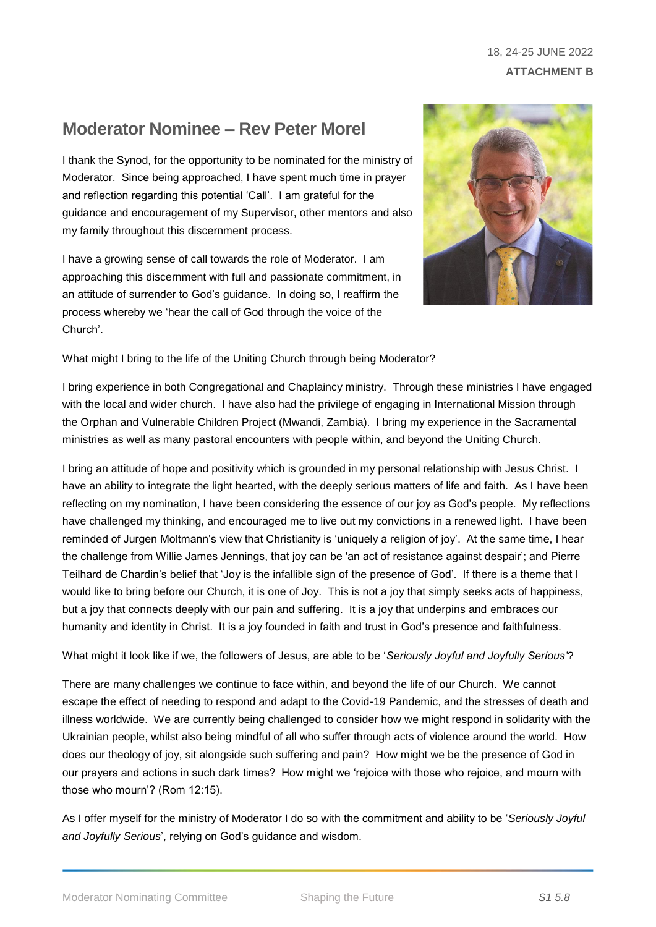### 18, 24-25 JUNE 2022 **ATTACHMENT B**

### **Moderator Nominee – Rev Peter Morel**

I thank the Synod, for the opportunity to be nominated for the ministry of Moderator. Since being approached, I have spent much time in prayer and reflection regarding this potential 'Call'. I am grateful for the guidance and encouragement of my Supervisor, other mentors and also my family throughout this discernment process.

I have a growing sense of call towards the role of Moderator. I am approaching this discernment with full and passionate commitment, in an attitude of surrender to God's guidance. In doing so, I reaffirm the process whereby we 'hear the call of God through the voice of the Church'.



What might I bring to the life of the Uniting Church through being Moderator?

I bring experience in both Congregational and Chaplaincy ministry. Through these ministries I have engaged with the local and wider church. I have also had the privilege of engaging in International Mission through the Orphan and Vulnerable Children Project (Mwandi, Zambia). I bring my experience in the Sacramental ministries as well as many pastoral encounters with people within, and beyond the Uniting Church.

I bring an attitude of hope and positivity which is grounded in my personal relationship with Jesus Christ. I have an ability to integrate the light hearted, with the deeply serious matters of life and faith. As I have been reflecting on my nomination, I have been considering the essence of our joy as God's people. My reflections have challenged my thinking, and encouraged me to live out my convictions in a renewed light. I have been reminded of Jurgen Moltmann's view that Christianity is 'uniquely a religion of joy'. At the same time, I hear the challenge from Willie James Jennings, that joy can be 'an act of resistance against despair'; and Pierre Teilhard de Chardin's belief that 'Joy is the infallible sign of the presence of God'. If there is a theme that I would like to bring before our Church, it is one of Joy. This is not a joy that simply seeks acts of happiness, but a joy that connects deeply with our pain and suffering. It is a joy that underpins and embraces our humanity and identity in Christ. It is a joy founded in faith and trust in God's presence and faithfulness.

What might it look like if we, the followers of Jesus, are able to be '*Seriously Joyful and Joyfully Serious'*?

There are many challenges we continue to face within, and beyond the life of our Church. We cannot escape the effect of needing to respond and adapt to the Covid-19 Pandemic, and the stresses of death and illness worldwide. We are currently being challenged to consider how we might respond in solidarity with the Ukrainian people, whilst also being mindful of all who suffer through acts of violence around the world. How does our theology of joy, sit alongside such suffering and pain? How might we be the presence of God in our prayers and actions in such dark times? How might we 'rejoice with those who rejoice, and mourn with those who mourn'? (Rom 12:15).

As I offer myself for the ministry of Moderator I do so with the commitment and ability to be '*Seriously Joyful and Joyfully Serious*', relying on God's guidance and wisdom.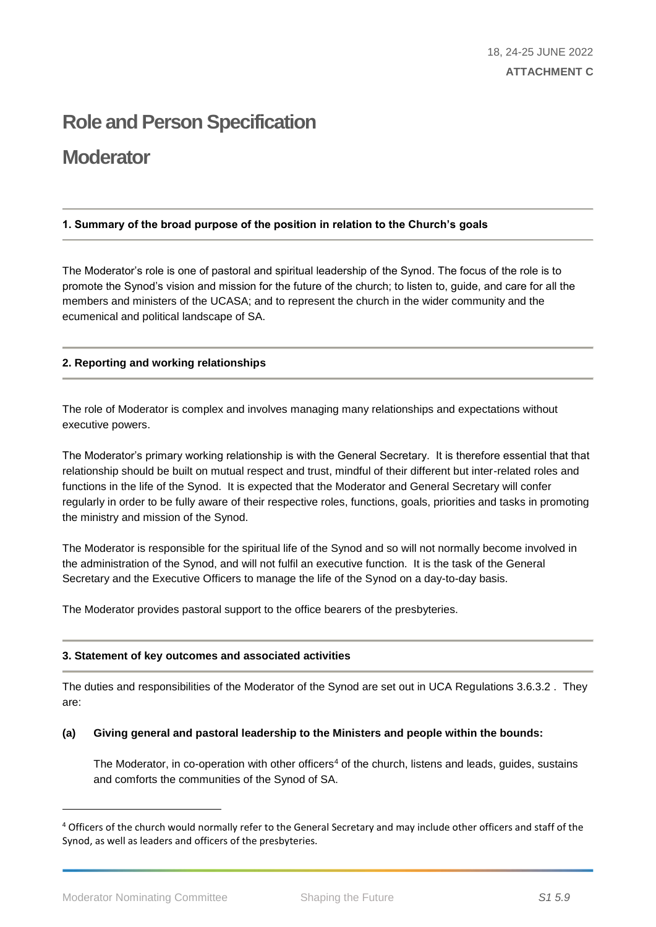## **Role and Person Specification**

### **Moderator**

#### **1. Summary of the broad purpose of the position in relation to the Church's goals**

The Moderator's role is one of pastoral and spiritual leadership of the Synod. The focus of the role is to promote the Synod's vision and mission for the future of the church; to listen to, guide, and care for all the members and ministers of the UCASA; and to represent the church in the wider community and the ecumenical and political landscape of SA.

#### **2. Reporting and working relationships**

The role of Moderator is complex and involves managing many relationships and expectations without executive powers.

The Moderator's primary working relationship is with the General Secretary. It is therefore essential that that relationship should be built on mutual respect and trust, mindful of their different but inter-related roles and functions in the life of the Synod. It is expected that the Moderator and General Secretary will confer regularly in order to be fully aware of their respective roles, functions, goals, priorities and tasks in promoting the ministry and mission of the Synod.

The Moderator is responsible for the spiritual life of the Synod and so will not normally become involved in the administration of the Synod, and will not fulfil an executive function. It is the task of the General Secretary and the Executive Officers to manage the life of the Synod on a day-to-day basis.

The Moderator provides pastoral support to the office bearers of the presbyteries.

#### **3. Statement of key outcomes and associated activities**

The duties and responsibilities of the Moderator of the Synod are set out in UCA Regulations 3.6.3.2 . They are:

#### **(a) Giving general and pastoral leadership to the Ministers and people within the bounds:**

The Moderator, in co-operation with other officers<sup>4</sup> of the church, listens and leads, guides, sustains and comforts the communities of the Synod of SA.

-

<sup>&</sup>lt;sup>4</sup> Officers of the church would normally refer to the General Secretary and may include other officers and staff of the Synod, as well as leaders and officers of the presbyteries.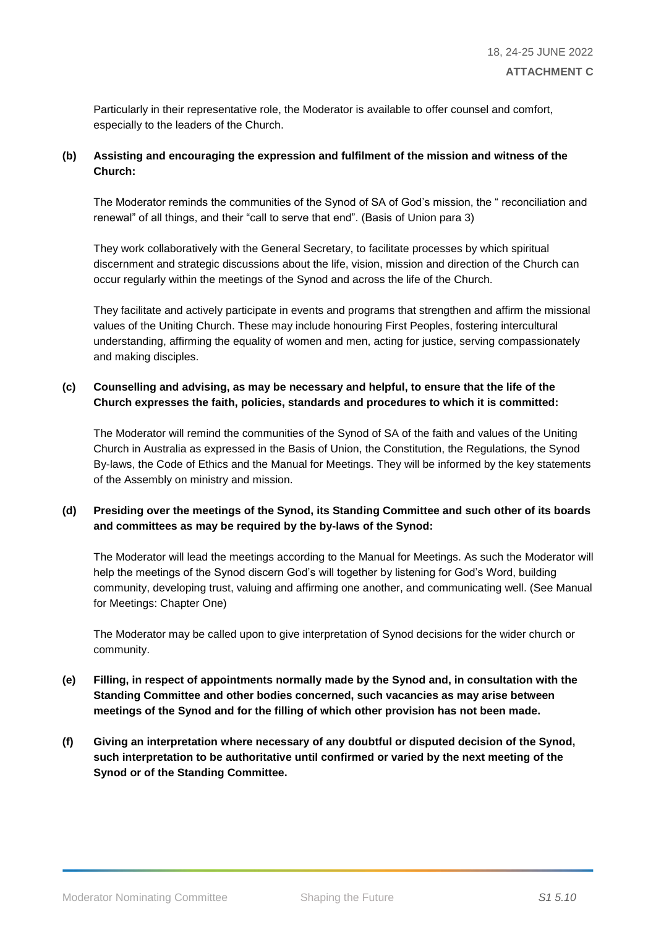Particularly in their representative role, the Moderator is available to offer counsel and comfort, especially to the leaders of the Church.

#### **(b) Assisting and encouraging the expression and fulfilment of the mission and witness of the Church:**

The Moderator reminds the communities of the Synod of SA of God's mission, the " reconciliation and renewal" of all things, and their "call to serve that end". (Basis of Union para 3)

They work collaboratively with the General Secretary, to facilitate processes by which spiritual discernment and strategic discussions about the life, vision, mission and direction of the Church can occur regularly within the meetings of the Synod and across the life of the Church.

They facilitate and actively participate in events and programs that strengthen and affirm the missional values of the Uniting Church. These may include honouring First Peoples, fostering intercultural understanding, affirming the equality of women and men, acting for justice, serving compassionately and making disciples.

#### **(c) Counselling and advising, as may be necessary and helpful, to ensure that the life of the Church expresses the faith, policies, standards and procedures to which it is committed:**

The Moderator will remind the communities of the Synod of SA of the faith and values of the Uniting Church in Australia as expressed in the Basis of Union, the Constitution, the Regulations, the Synod By-laws, the Code of Ethics and the Manual for Meetings. They will be informed by the key statements of the Assembly on ministry and mission.

#### **(d) Presiding over the meetings of the Synod, its Standing Committee and such other of its boards and committees as may be required by the by-laws of the Synod:**

The Moderator will lead the meetings according to the Manual for Meetings. As such the Moderator will help the meetings of the Synod discern God's will together by listening for God's Word, building community, developing trust, valuing and affirming one another, and communicating well. (See Manual for Meetings: Chapter One)

The Moderator may be called upon to give interpretation of Synod decisions for the wider church or community.

- **(e) Filling, in respect of appointments normally made by the Synod and, in consultation with the Standing Committee and other bodies concerned, such vacancies as may arise between meetings of the Synod and for the filling of which other provision has not been made.**
- **(f) Giving an interpretation where necessary of any doubtful or disputed decision of the Synod, such interpretation to be authoritative until confirmed or varied by the next meeting of the Synod or of the Standing Committee.**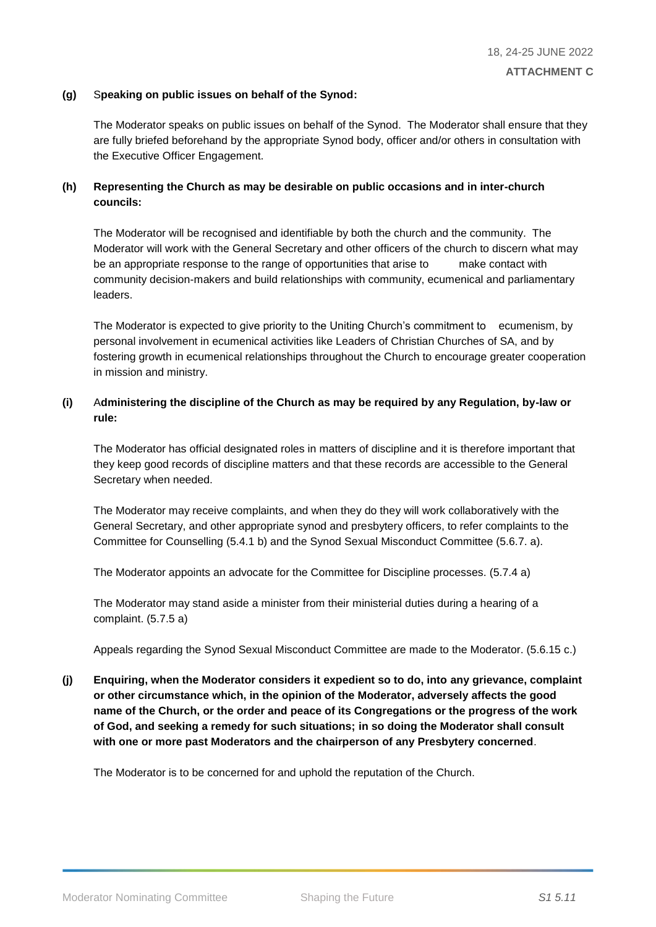#### **(g)** S**peaking on public issues on behalf of the Synod:**

The Moderator speaks on public issues on behalf of the Synod. The Moderator shall ensure that they are fully briefed beforehand by the appropriate Synod body, officer and/or others in consultation with the Executive Officer Engagement.

#### **(h) Representing the Church as may be desirable on public occasions and in inter-church councils:**

The Moderator will be recognised and identifiable by both the church and the community. The Moderator will work with the General Secretary and other officers of the church to discern what may be an appropriate response to the range of opportunities that arise to make contact with community decision-makers and build relationships with community, ecumenical and parliamentary leaders.

The Moderator is expected to give priority to the Uniting Church's commitment to ecumenism, by personal involvement in ecumenical activities like Leaders of Christian Churches of SA, and by fostering growth in ecumenical relationships throughout the Church to encourage greater cooperation in mission and ministry.

#### **(i)** A**dministering the discipline of the Church as may be required by any Regulation, by-law or rule:**

The Moderator has official designated roles in matters of discipline and it is therefore important that they keep good records of discipline matters and that these records are accessible to the General Secretary when needed.

The Moderator may receive complaints, and when they do they will work collaboratively with the General Secretary, and other appropriate synod and presbytery officers, to refer complaints to the Committee for Counselling (5.4.1 b) and the Synod Sexual Misconduct Committee (5.6.7. a).

The Moderator appoints an advocate for the Committee for Discipline processes. (5.7.4 a)

The Moderator may stand aside a minister from their ministerial duties during a hearing of a complaint. (5.7.5 a)

Appeals regarding the Synod Sexual Misconduct Committee are made to the Moderator. (5.6.15 c.)

**(j) Enquiring, when the Moderator considers it expedient so to do, into any grievance, complaint or other circumstance which, in the opinion of the Moderator, adversely affects the good name of the Church, or the order and peace of its Congregations or the progress of the work of God, and seeking a remedy for such situations; in so doing the Moderator shall consult with one or more past Moderators and the chairperson of any Presbytery concerned**.

The Moderator is to be concerned for and uphold the reputation of the Church.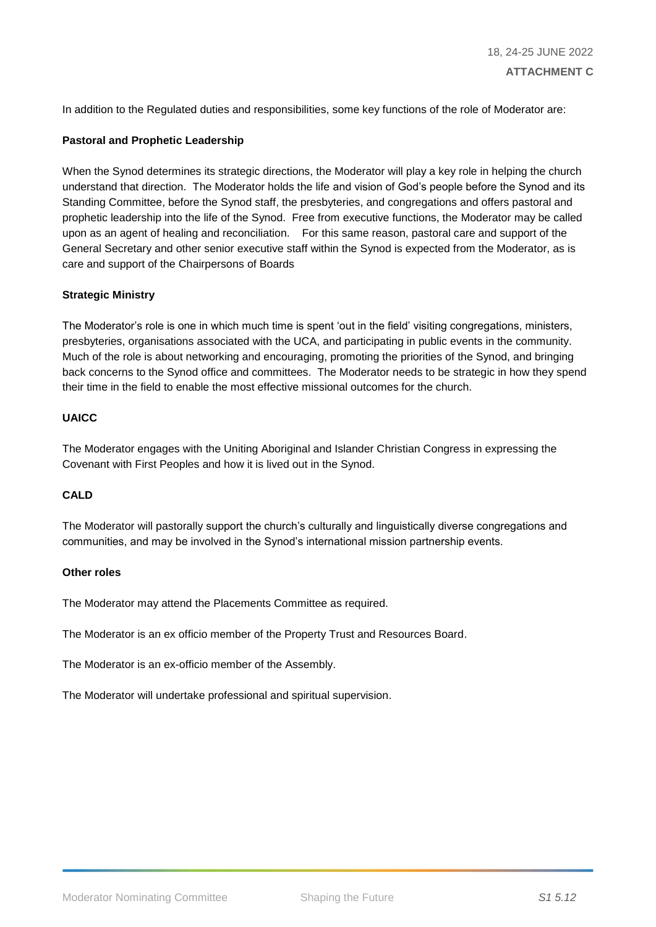In addition to the Regulated duties and responsibilities, some key functions of the role of Moderator are:

#### **Pastoral and Prophetic Leadership**

When the Synod determines its strategic directions, the Moderator will play a key role in helping the church understand that direction. The Moderator holds the life and vision of God's people before the Synod and its Standing Committee, before the Synod staff, the presbyteries, and congregations and offers pastoral and prophetic leadership into the life of the Synod. Free from executive functions, the Moderator may be called upon as an agent of healing and reconciliation. For this same reason, pastoral care and support of the General Secretary and other senior executive staff within the Synod is expected from the Moderator, as is care and support of the Chairpersons of Boards

#### **Strategic Ministry**

The Moderator's role is one in which much time is spent 'out in the field' visiting congregations, ministers, presbyteries, organisations associated with the UCA, and participating in public events in the community. Much of the role is about networking and encouraging, promoting the priorities of the Synod, and bringing back concerns to the Synod office and committees. The Moderator needs to be strategic in how they spend their time in the field to enable the most effective missional outcomes for the church.

#### **UAICC**

The Moderator engages with the Uniting Aboriginal and Islander Christian Congress in expressing the Covenant with First Peoples and how it is lived out in the Synod.

#### **CALD**

The Moderator will pastorally support the church's culturally and linguistically diverse congregations and communities, and may be involved in the Synod's international mission partnership events.

#### **Other roles**

The Moderator may attend the Placements Committee as required.

The Moderator is an ex officio member of the Property Trust and Resources Board.

The Moderator is an ex-officio member of the Assembly.

The Moderator will undertake professional and spiritual supervision.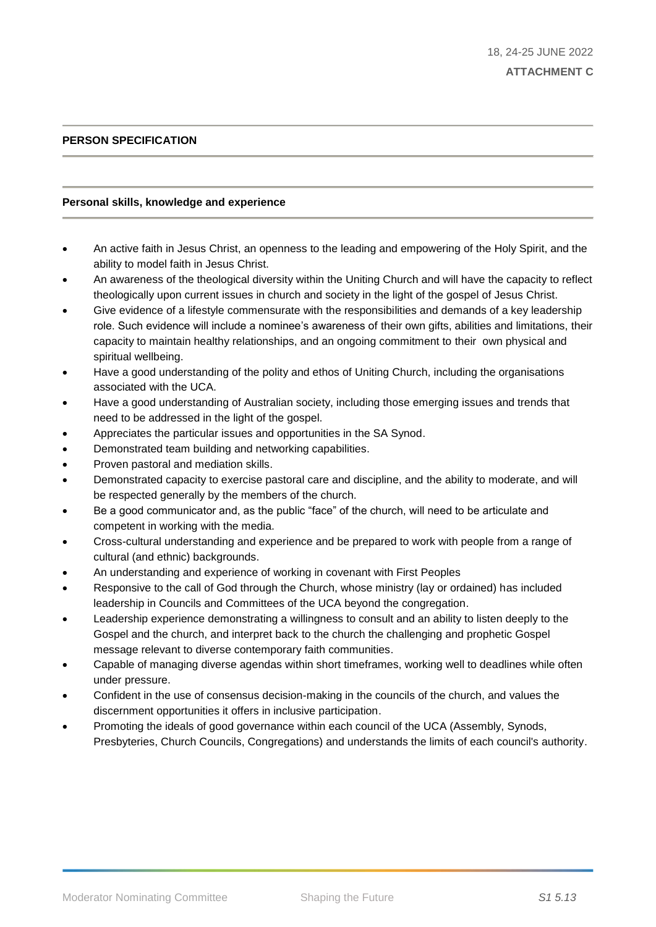#### **PERSON SPECIFICATION**

#### **Personal skills, knowledge and experience**

- An active faith in Jesus Christ, an openness to the leading and empowering of the Holy Spirit, and the ability to model faith in Jesus Christ.
- An awareness of the theological diversity within the Uniting Church and will have the capacity to reflect theologically upon current issues in church and society in the light of the gospel of Jesus Christ.
- Give evidence of a lifestyle commensurate with the responsibilities and demands of a key leadership role. Such evidence will include a nominee's awareness of their own gifts, abilities and limitations, their capacity to maintain healthy relationships, and an ongoing commitment to their own physical and spiritual wellbeing.
- Have a good understanding of the polity and ethos of Uniting Church, including the organisations associated with the UCA.
- Have a good understanding of Australian society, including those emerging issues and trends that need to be addressed in the light of the gospel.
- Appreciates the particular issues and opportunities in the SA Synod.
- Demonstrated team building and networking capabilities.
- Proven pastoral and mediation skills.
- Demonstrated capacity to exercise pastoral care and discipline, and the ability to moderate, and will be respected generally by the members of the church.
- Be a good communicator and, as the public "face" of the church, will need to be articulate and competent in working with the media.
- Cross-cultural understanding and experience and be prepared to work with people from a range of cultural (and ethnic) backgrounds.
- An understanding and experience of working in covenant with First Peoples
- Responsive to the call of God through the Church, whose ministry (lay or ordained) has included leadership in Councils and Committees of the UCA beyond the congregation.
- Leadership experience demonstrating a willingness to consult and an ability to listen deeply to the Gospel and the church, and interpret back to the church the challenging and prophetic Gospel message relevant to diverse contemporary faith communities.
- Capable of managing diverse agendas within short timeframes, working well to deadlines while often under pressure.
- Confident in the use of consensus decision-making in the councils of the church, and values the discernment opportunities it offers in inclusive participation.
- Promoting the ideals of good governance within each council of the UCA (Assembly, Synods, Presbyteries, Church Councils, Congregations) and understands the limits of each council's authority.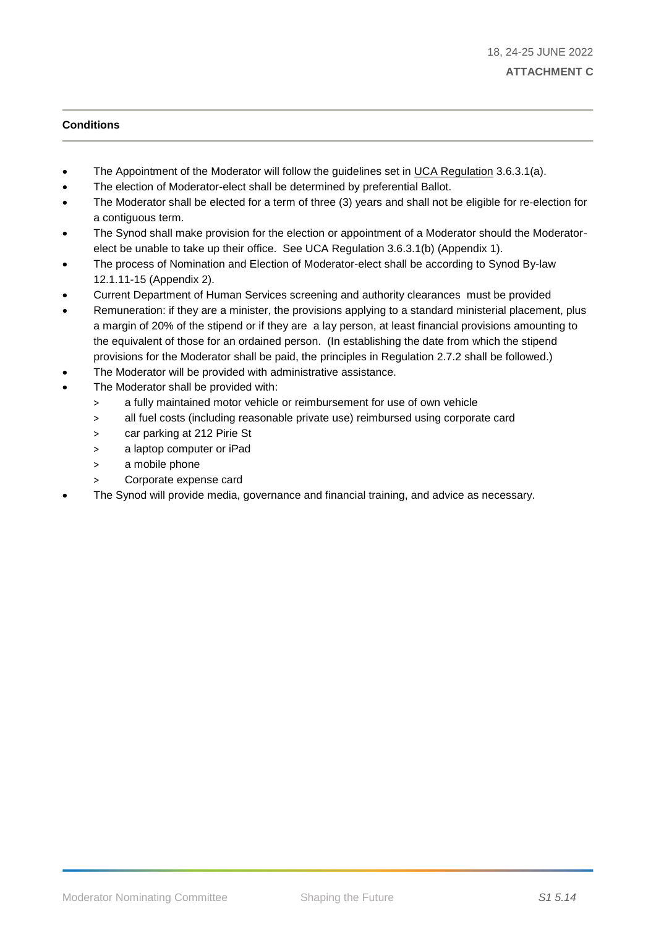#### **Conditions**

- The Appointment of the Moderator will follow the guidelines set in UCA Regulation 3.6.3.1(a).
- The election of Moderator-elect shall be determined by preferential Ballot.
- The Moderator shall be elected for a term of three (3) years and shall not be eligible for re-election for a contiguous term.
- The Synod shall make provision for the election or appointment of a Moderator should the Moderatorelect be unable to take up their office. See UCA Regulation 3.6.3.1(b) (Appendix 1).
- The process of Nomination and Election of Moderator-elect shall be according to Synod By-law 12.1.11-15 (Appendix 2).
- Current Department of Human Services screening and authority clearances must be provided
- Remuneration: if they are a minister, the provisions applying to a standard ministerial placement, plus a margin of 20% of the stipend or if they are a lay person, at least financial provisions amounting to the equivalent of those for an ordained person. (In establishing the date from which the stipend provisions for the Moderator shall be paid, the principles in Regulation 2.7.2 shall be followed.)
- The Moderator will be provided with administrative assistance.
- The Moderator shall be provided with:
	- > a fully maintained motor vehicle or reimbursement for use of own vehicle
	- > all fuel costs (including reasonable private use) reimbursed using corporate card
	- > car parking at 212 Pirie St
	- > a laptop computer or iPad
	- > a mobile phone
	- > Corporate expense card
- The Synod will provide media, governance and financial training, and advice as necessary.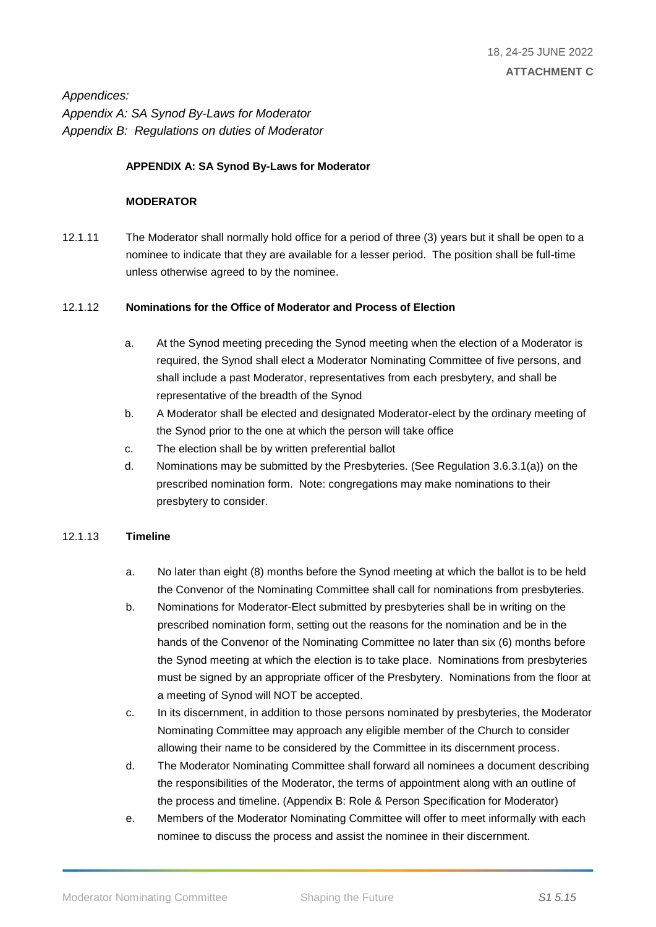*Appendices: Appendix A: SA Synod By-Laws for Moderator Appendix B: Regulations on duties of Moderator*

#### **APPENDIX A: SA Synod By-Laws for Moderator**

#### **MODERATOR**

12.1.11 The Moderator shall normally hold office for a period of three (3) years but it shall be open to a nominee to indicate that they are available for a lesser period. The position shall be full-time unless otherwise agreed to by the nominee.

#### 12.1.12 **Nominations for the Office of Moderator and Process of Election**

- a. At the Synod meeting preceding the Synod meeting when the election of a Moderator is required, the Synod shall elect a Moderator Nominating Committee of five persons, and shall include a past Moderator, representatives from each presbytery, and shall be representative of the breadth of the Synod
- b. A Moderator shall be elected and designated Moderator-elect by the ordinary meeting of the Synod prior to the one at which the person will take office
- c. The election shall be by written preferential ballot
- d. Nominations may be submitted by the Presbyteries. (See Regulation 3.6.3.1(a)) on the prescribed nomination form. Note: congregations may make nominations to their presbytery to consider.

#### 12.1.13 **Timeline**

- a. No later than eight (8) months before the Synod meeting at which the ballot is to be held the Convenor of the Nominating Committee shall call for nominations from presbyteries.
- b. Nominations for Moderator-Elect submitted by presbyteries shall be in writing on the prescribed nomination form, setting out the reasons for the nomination and be in the hands of the Convenor of the Nominating Committee no later than six (6) months before the Synod meeting at which the election is to take place. Nominations from presbyteries must be signed by an appropriate officer of the Presbytery. Nominations from the floor at a meeting of Synod will NOT be accepted.
- c. In its discernment, in addition to those persons nominated by presbyteries, the Moderator Nominating Committee may approach any eligible member of the Church to consider allowing their name to be considered by the Committee in its discernment process.
- d. The Moderator Nominating Committee shall forward all nominees a document describing the responsibilities of the Moderator, the terms of appointment along with an outline of the process and timeline. (Appendix B: Role & Person Specification for Moderator)
- e. Members of the Moderator Nominating Committee will offer to meet informally with each nominee to discuss the process and assist the nominee in their discernment.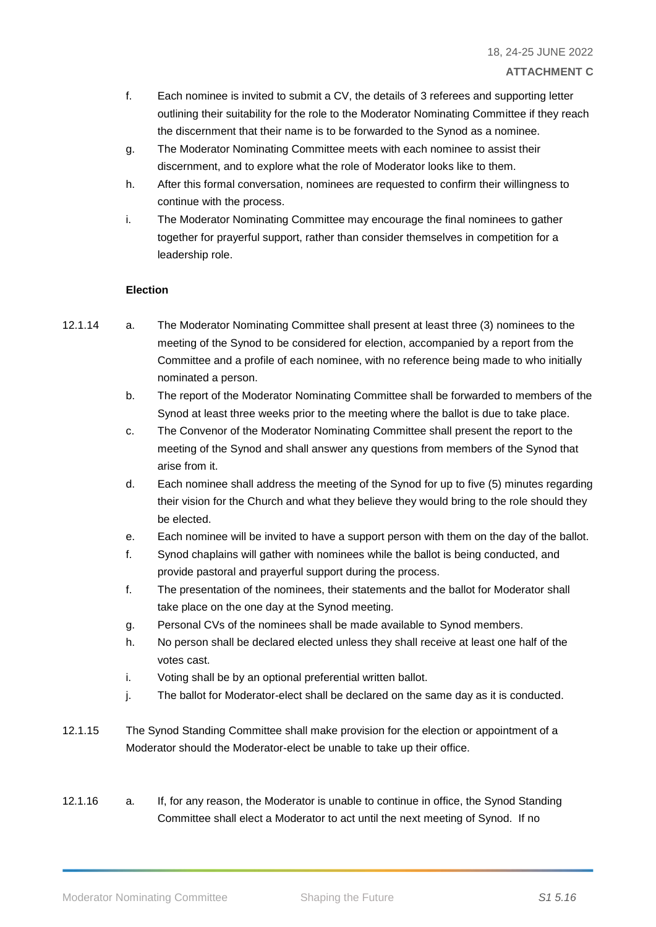- f. Each nominee is invited to submit a CV, the details of 3 referees and supporting letter outlining their suitability for the role to the Moderator Nominating Committee if they reach the discernment that their name is to be forwarded to the Synod as a nominee.
- g. The Moderator Nominating Committee meets with each nominee to assist their discernment, and to explore what the role of Moderator looks like to them.
- h. After this formal conversation, nominees are requested to confirm their willingness to continue with the process.
- i. The Moderator Nominating Committee may encourage the final nominees to gather together for prayerful support, rather than consider themselves in competition for a leadership role.

#### **Election**

- 12.1.14 a. The Moderator Nominating Committee shall present at least three (3) nominees to the meeting of the Synod to be considered for election, accompanied by a report from the Committee and a profile of each nominee, with no reference being made to who initially nominated a person.
	- b. The report of the Moderator Nominating Committee shall be forwarded to members of the Synod at least three weeks prior to the meeting where the ballot is due to take place.
	- c. The Convenor of the Moderator Nominating Committee shall present the report to the meeting of the Synod and shall answer any questions from members of the Synod that arise from it.
	- d. Each nominee shall address the meeting of the Synod for up to five (5) minutes regarding their vision for the Church and what they believe they would bring to the role should they be elected.
	- e. Each nominee will be invited to have a support person with them on the day of the ballot.
	- f. Synod chaplains will gather with nominees while the ballot is being conducted, and provide pastoral and prayerful support during the process.
	- f. The presentation of the nominees, their statements and the ballot for Moderator shall take place on the one day at the Synod meeting.
	- g. Personal CVs of the nominees shall be made available to Synod members.
	- h. No person shall be declared elected unless they shall receive at least one half of the votes cast.
	- i. Voting shall be by an optional preferential written ballot.
	- j. The ballot for Moderator-elect shall be declared on the same day as it is conducted.
- 12.1.15 The Synod Standing Committee shall make provision for the election or appointment of a Moderator should the Moderator-elect be unable to take up their office.
- 12.1.16 a. If, for any reason, the Moderator is unable to continue in office, the Synod Standing Committee shall elect a Moderator to act until the next meeting of Synod. If no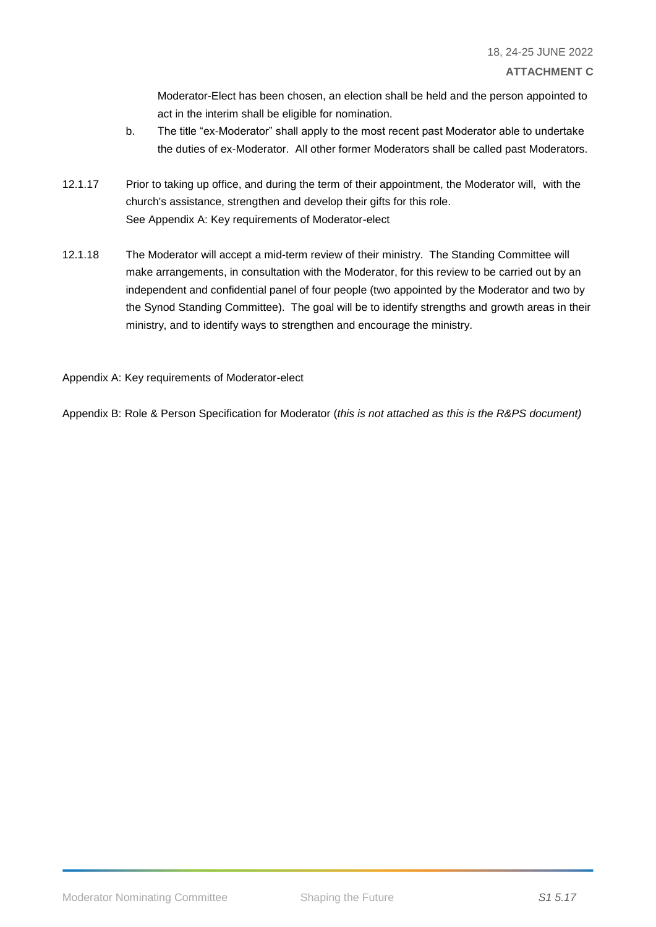Moderator-Elect has been chosen, an election shall be held and the person appointed to act in the interim shall be eligible for nomination.

- b. The title "ex-Moderator" shall apply to the most recent past Moderator able to undertake the duties of ex-Moderator. All other former Moderators shall be called past Moderators.
- 12.1.17 Prior to taking up office, and during the term of their appointment, the Moderator will, with the church's assistance, strengthen and develop their gifts for this role. See Appendix A: Key requirements of Moderator-elect
- 12.1.18 The Moderator will accept a mid-term review of their ministry. The Standing Committee will make arrangements, in consultation with the Moderator, for this review to be carried out by an independent and confidential panel of four people (two appointed by the Moderator and two by the Synod Standing Committee). The goal will be to identify strengths and growth areas in their ministry, and to identify ways to strengthen and encourage the ministry.

Appendix A: Key requirements of Moderator-elect

Appendix B: Role & Person Specification for Moderator (*this is not attached as this is the R&PS document)*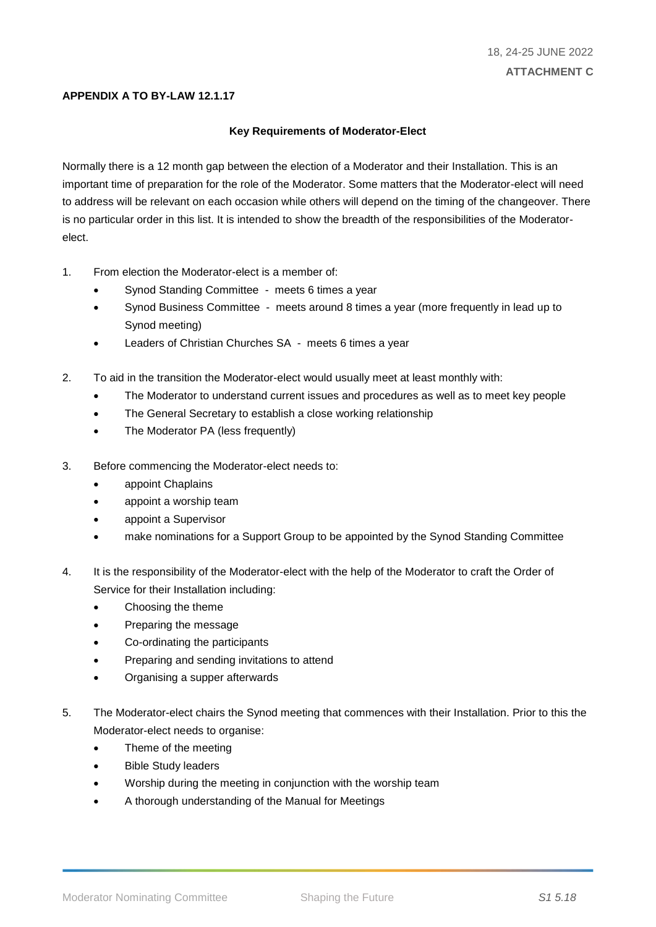#### **APPENDIX A TO BY-LAW 12.1.17**

#### **Key Requirements of Moderator-Elect**

Normally there is a 12 month gap between the election of a Moderator and their Installation. This is an important time of preparation for the role of the Moderator. Some matters that the Moderator-elect will need to address will be relevant on each occasion while others will depend on the timing of the changeover. There is no particular order in this list. It is intended to show the breadth of the responsibilities of the Moderatorelect.

- 1. From election the Moderator-elect is a member of:
	- Synod Standing Committee meets 6 times a year
	- Synod Business Committee meets around 8 times a year (more frequently in lead up to Synod meeting)
	- Leaders of Christian Churches SA meets 6 times a year
- 2. To aid in the transition the Moderator-elect would usually meet at least monthly with:
	- The Moderator to understand current issues and procedures as well as to meet key people
	- The General Secretary to establish a close working relationship
	- The Moderator PA (less frequently)
- 3. Before commencing the Moderator-elect needs to:
	- appoint Chaplains
	- appoint a worship team
	- appoint a Supervisor
	- make nominations for a Support Group to be appointed by the Synod Standing Committee
- 4. It is the responsibility of the Moderator-elect with the help of the Moderator to craft the Order of Service for their Installation including:
	- Choosing the theme
	- Preparing the message
	- Co-ordinating the participants
	- Preparing and sending invitations to attend
	- Organising a supper afterwards
- 5. The Moderator-elect chairs the Synod meeting that commences with their Installation. Prior to this the Moderator-elect needs to organise:
	- Theme of the meeting
	- Bible Study leaders
	- Worship during the meeting in conjunction with the worship team
	- A thorough understanding of the Manual for Meetings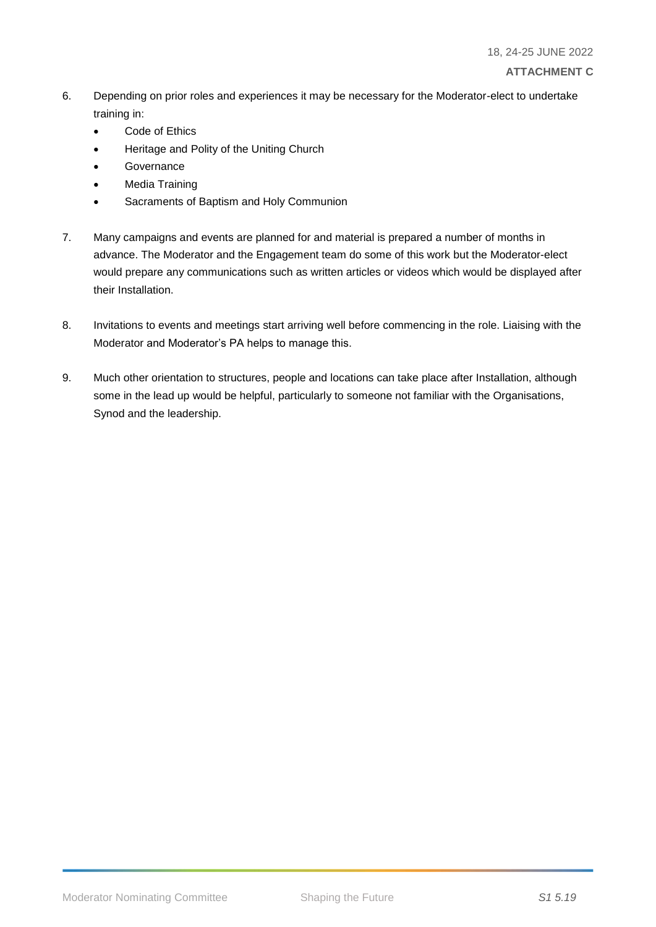#### 6. Depending on prior roles and experiences it may be necessary for the Moderator-elect to undertake training in:

- Code of Ethics
- Heritage and Polity of the Uniting Church
- **Governance**
- Media Training
- Sacraments of Baptism and Holy Communion
- 7. Many campaigns and events are planned for and material is prepared a number of months in advance. The Moderator and the Engagement team do some of this work but the Moderator-elect would prepare any communications such as written articles or videos which would be displayed after their Installation.
- 8. Invitations to events and meetings start arriving well before commencing in the role. Liaising with the Moderator and Moderator's PA helps to manage this.
- 9. Much other orientation to structures, people and locations can take place after Installation, although some in the lead up would be helpful, particularly to someone not familiar with the Organisations, Synod and the leadership.